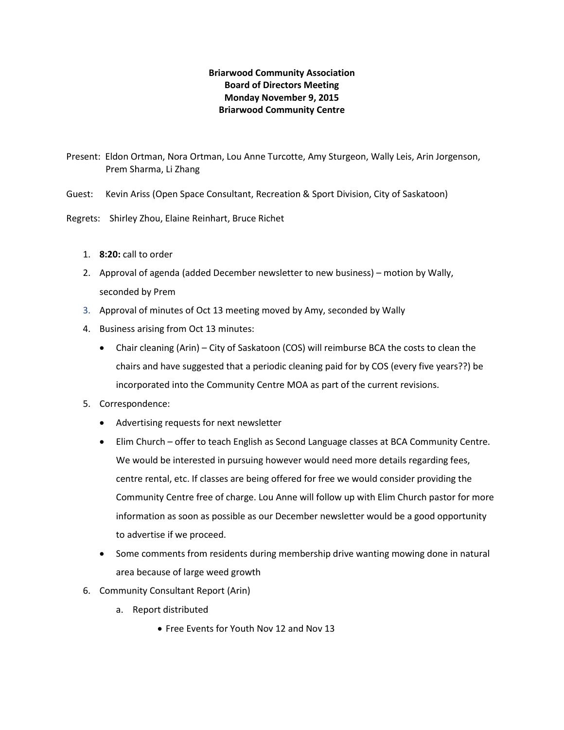# **Briarwood Community Association Board of Directors Meeting Monday November 9, 2015 Briarwood Community Centre**

Present: Eldon Ortman, Nora Ortman, Lou Anne Turcotte, Amy Sturgeon, Wally Leis, Arin Jorgenson, Prem Sharma, Li Zhang

Guest: Kevin Ariss (Open Space Consultant, Recreation & Sport Division, City of Saskatoon)

Regrets: Shirley Zhou, Elaine Reinhart, Bruce Richet

- 1. **8:20:** call to order
- 2. Approval of agenda (added December newsletter to new business) motion by Wally, seconded by Prem
- 3. Approval of minutes of Oct 13 meeting moved by Amy, seconded by Wally
- 4. Business arising from Oct 13 minutes:
	- Chair cleaning (Arin) City of Saskatoon (COS) will reimburse BCA the costs to clean the chairs and have suggested that a periodic cleaning paid for by COS (every five years??) be incorporated into the Community Centre MOA as part of the current revisions.
- 5. Correspondence:
	- Advertising requests for next newsletter
	- Elim Church offer to teach English as Second Language classes at BCA Community Centre. We would be interested in pursuing however would need more details regarding fees, centre rental, etc. If classes are being offered for free we would consider providing the Community Centre free of charge. Lou Anne will follow up with Elim Church pastor for more information as soon as possible as our December newsletter would be a good opportunity to advertise if we proceed.
	- Some comments from residents during membership drive wanting mowing done in natural area because of large weed growth
- 6. Community Consultant Report (Arin)
	- a. Report distributed
		- Free Events for Youth Nov 12 and Nov 13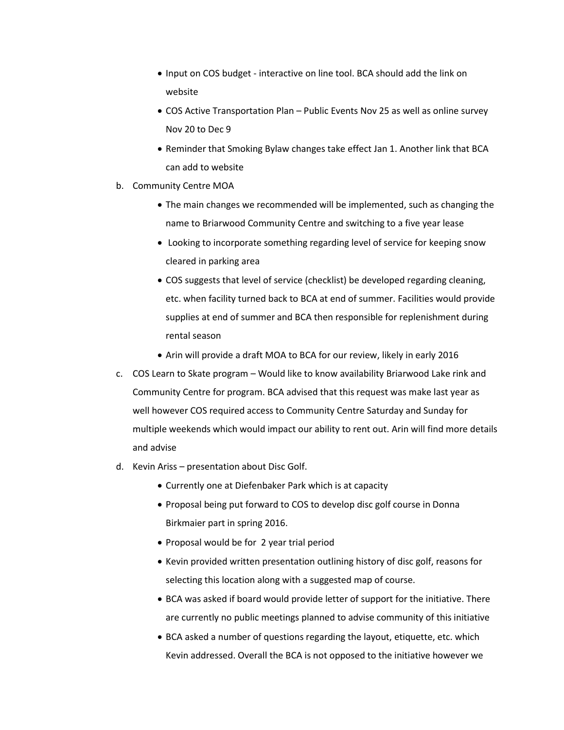- Input on COS budget interactive on line tool. BCA should add the link on website
- COS Active Transportation Plan Public Events Nov 25 as well as online survey Nov 20 to Dec 9
- Reminder that Smoking Bylaw changes take effect Jan 1. Another link that BCA can add to website
- b. Community Centre MOA
	- The main changes we recommended will be implemented, such as changing the name to Briarwood Community Centre and switching to a five year lease
	- Looking to incorporate something regarding level of service for keeping snow cleared in parking area
	- COS suggests that level of service (checklist) be developed regarding cleaning, etc. when facility turned back to BCA at end of summer. Facilities would provide supplies at end of summer and BCA then responsible for replenishment during rental season
	- Arin will provide a draft MOA to BCA for our review, likely in early 2016
- c. COS Learn to Skate program Would like to know availability Briarwood Lake rink and Community Centre for program. BCA advised that this request was make last year as well however COS required access to Community Centre Saturday and Sunday for multiple weekends which would impact our ability to rent out. Arin will find more details and advise
- d. Kevin Ariss presentation about Disc Golf.
	- Currently one at Diefenbaker Park which is at capacity
	- Proposal being put forward to COS to develop disc golf course in Donna Birkmaier part in spring 2016.
	- Proposal would be for 2 year trial period
	- Kevin provided written presentation outlining history of disc golf, reasons for selecting this location along with a suggested map of course.
	- BCA was asked if board would provide letter of support for the initiative. There are currently no public meetings planned to advise community of this initiative
	- BCA asked a number of questions regarding the layout, etiquette, etc. which Kevin addressed. Overall the BCA is not opposed to the initiative however we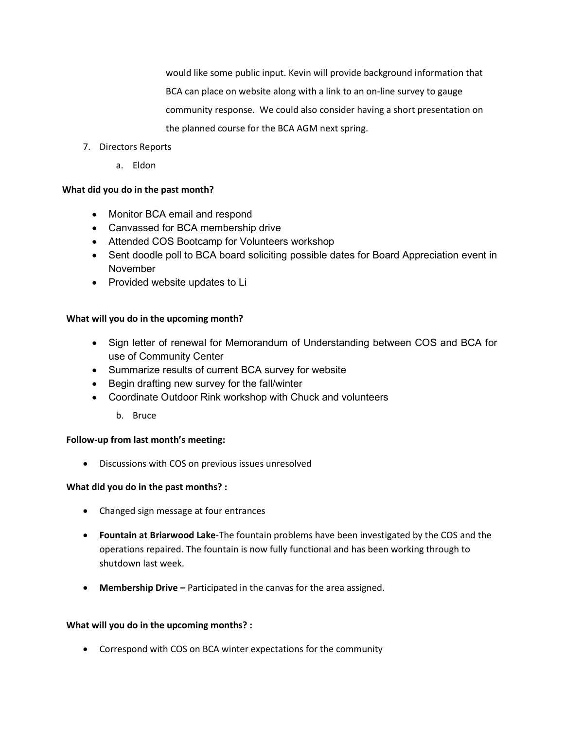would like some public input. Kevin will provide background information that BCA can place on website along with a link to an on-line survey to gauge community response. We could also consider having a short presentation on the planned course for the BCA AGM next spring.

- 7. Directors Reports
	- a. Eldon

## **What did you do in the past month?**

- Monitor BCA email and respond
- Canvassed for BCA membership drive
- Attended COS Bootcamp for Volunteers workshop
- Sent doodle poll to BCA board soliciting possible dates for Board Appreciation event in November
- Provided website updates to Li

## **What will you do in the upcoming month?**

- Sign letter of renewal for Memorandum of Understanding between COS and BCA for use of Community Center
- Summarize results of current BCA survey for website
- Begin drafting new survey for the fall/winter
- Coordinate Outdoor Rink workshop with Chuck and volunteers
	- b. Bruce

### **Follow-up from last month's meeting:**

• Discussions with COS on previous issues unresolved

### **What did you do in the past months? :**

- Changed sign message at four entrances
- **Fountain at Briarwood Lake**-The fountain problems have been investigated by the COS and the operations repaired. The fountain is now fully functional and has been working through to shutdown last week.
- Membership Drive Participated in the canvas for the area assigned.

### **What will you do in the upcoming months? :**

• Correspond with COS on BCA winter expectations for the community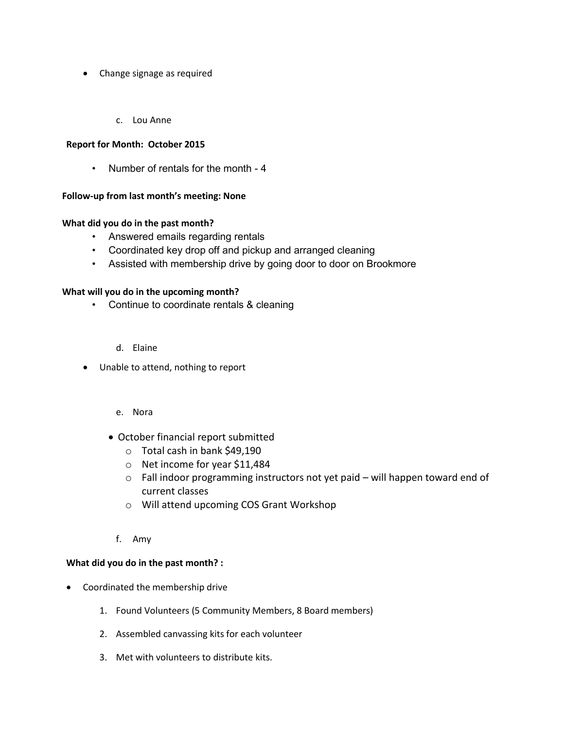- Change signage as required
	- c. Lou Anne

### **Report for Month: October 2015**

• Number of rentals for the month - 4

#### **Follow-up from last month's meeting: None**

#### **What did you do in the past month?**

- Answered emails regarding rentals
- Coordinated key drop off and pickup and arranged cleaning
- Assisted with membership drive by going door to door on Brookmore

#### **What will you do in the upcoming month?**

- Continue to coordinate rentals & cleaning
	- d. Elaine
- Unable to attend, nothing to report
	- e. Nora
	- October financial report submitted
		- o Total cash in bank \$49,190
		- o Net income for year \$11,484
		- o Fall indoor programming instructors not yet paid will happen toward end of current classes
		- o Will attend upcoming COS Grant Workshop
		- f. Amy

#### **What did you do in the past month? :**

- Coordinated the membership drive
	- 1. Found Volunteers (5 Community Members, 8 Board members)
	- 2. Assembled canvassing kits for each volunteer
	- 3. Met with volunteers to distribute kits.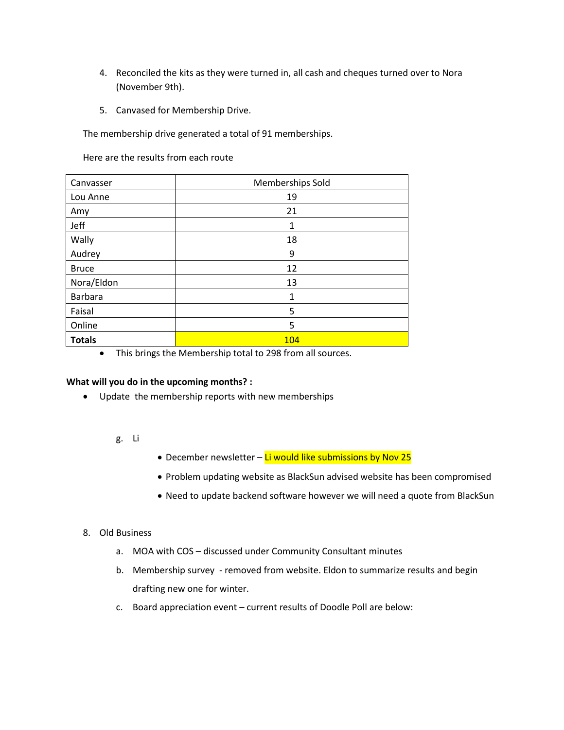- 4. Reconciled the kits as they were turned in, all cash and cheques turned over to Nora (November 9th).
- 5. Canvased for Membership Drive.

The membership drive generated a total of 91 memberships.

Here are the results from each route

| Canvasser     | Memberships Sold |
|---------------|------------------|
| Lou Anne      | 19               |
| Amy           | 21               |
| Jeff          | 1                |
| Wally         | 18               |
| Audrey        | 9                |
| <b>Bruce</b>  | 12               |
| Nora/Eldon    | 13               |
| Barbara       | 1                |
| Faisal        | 5                |
| Online        | 5                |
| <b>Totals</b> | 104              |

• This brings the Membership total to 298 from all sources.

### **What will you do in the upcoming months? :**

• Update the membership reports with new memberships

### g. Li

- December newsletter Li would like submissions by Nov 25
- Problem updating website as BlackSun advised website has been compromised
- Need to update backend software however we will need a quote from BlackSun

### 8. Old Business

- a. MOA with COS discussed under Community Consultant minutes
- b. Membership survey removed from website. Eldon to summarize results and begin drafting new one for winter.
- c. Board appreciation event current results of Doodle Poll are below: